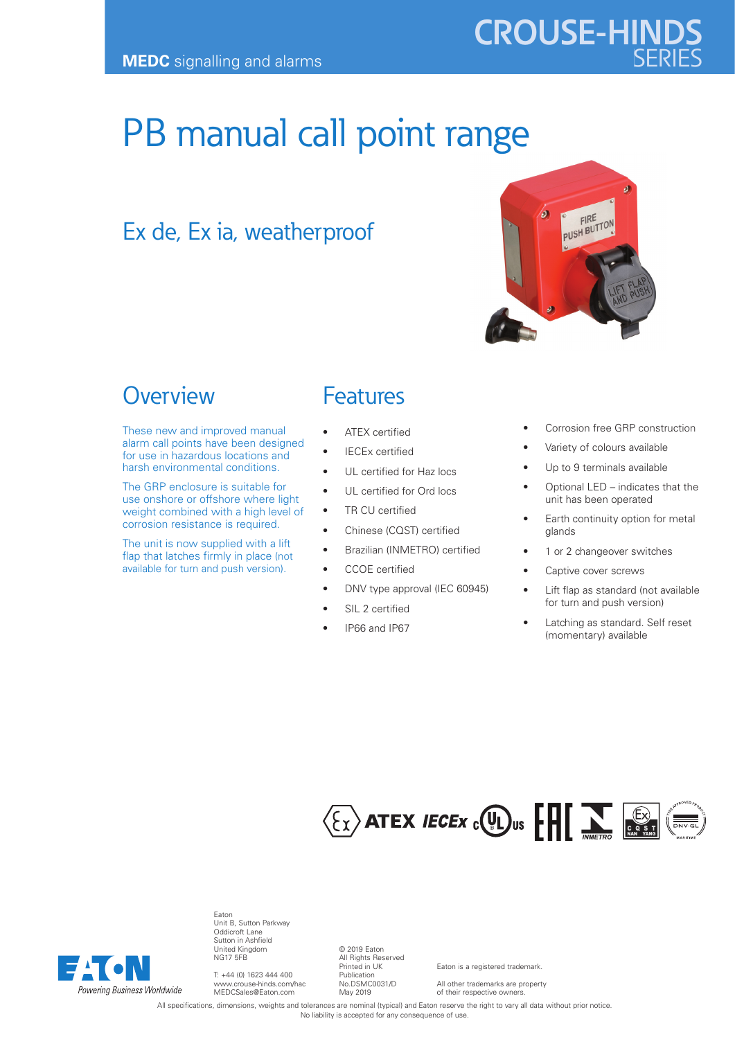# **CROUSE-HINDS**

## PB manual call point range

### Ex de, Ex ia, weatherproof



#### **Overview**

These new and improved manual alarm call points have been designed for use in hazardous locations and harsh environmental conditions.

The GRP enclosure is suitable for use onshore or offshore where light weight combined with a high level of corrosion resistance is required.

The unit is now supplied with a lift flap that latches firmly in place (not available for turn and push version).

#### Features

- ATEX certified
- IECEx certified
	- UL certified for Haz locs
- UL certified for Ord locs
- TR CU certified
- Chinese (CQST) certified
- Brazilian (INMETRO) certified
- CCOE certified
- DNV type approval (IEC 60945)
- SIL 2 certified
- IP66 and IP67
- Corrosion free GRP construction
- Variety of colours available
- Up to 9 terminals available
- Optional LED indicates that the unit has been operated
- Earth continuity option for metal glands
- 1 or 2 changeover switches
- Captive cover screws
- Lift flap as standard (not available for turn and push version)
- Latching as standard. Self reset (momentary) available





Eaton Unit B, Sutton Parkway Oddicroft Lane Sutton in Ashfield United Kingdom NG17 5FB

T: +44 (0) 1623 444 400 www.crouse-hinds.com/hac MEDCSales@Eaton.com

© 2019 Eaton All Rights Reserved Printed in UK Publication No.DSMC0031/D May 2019

Eaton is a registered trademark.

All other trademarks are property of their respective owners.

All specifications, dimensions, weights and tolerances are nominal (typical) and Eaton reserve the right to vary all data without prior notice. No liability is accepted for any consequence of use.